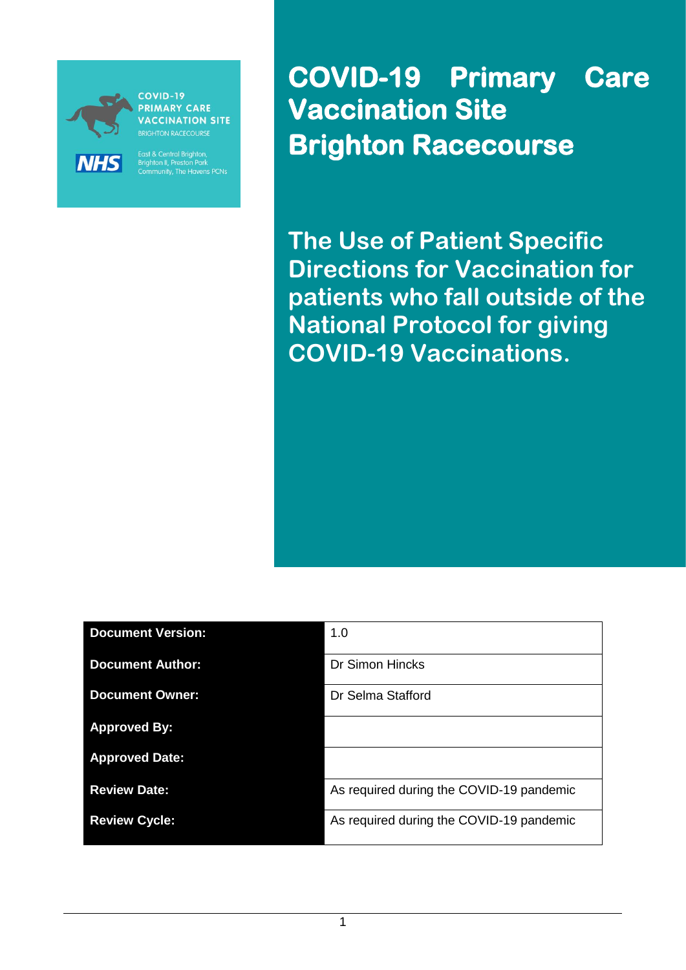

**PRIMARY CARE ACCINATION SITE RIGHTON RACECOURSE** 

East & Central Brighton,<br>Brighton II, Preston Park<br>Community, The Havens PCNs

**COVID-19 Primary Care Vaccination Site Brighton Racecourse** 

**The Use of Patient Specific Directions for Vaccination for patients who fall outside of the National Protocol for giving COVID-19 Vaccinations.**

| <b>Document Version:</b> | 1.0                                      |
|--------------------------|------------------------------------------|
| <b>Document Author:</b>  | Dr Simon Hincks                          |
| <b>Document Owner:</b>   | Dr Selma Stafford                        |
| <b>Approved By:</b>      |                                          |
| <b>Approved Date:</b>    |                                          |
| <b>Review Date:</b>      | As required during the COVID-19 pandemic |
| <b>Review Cycle:</b>     | As required during the COVID-19 pandemic |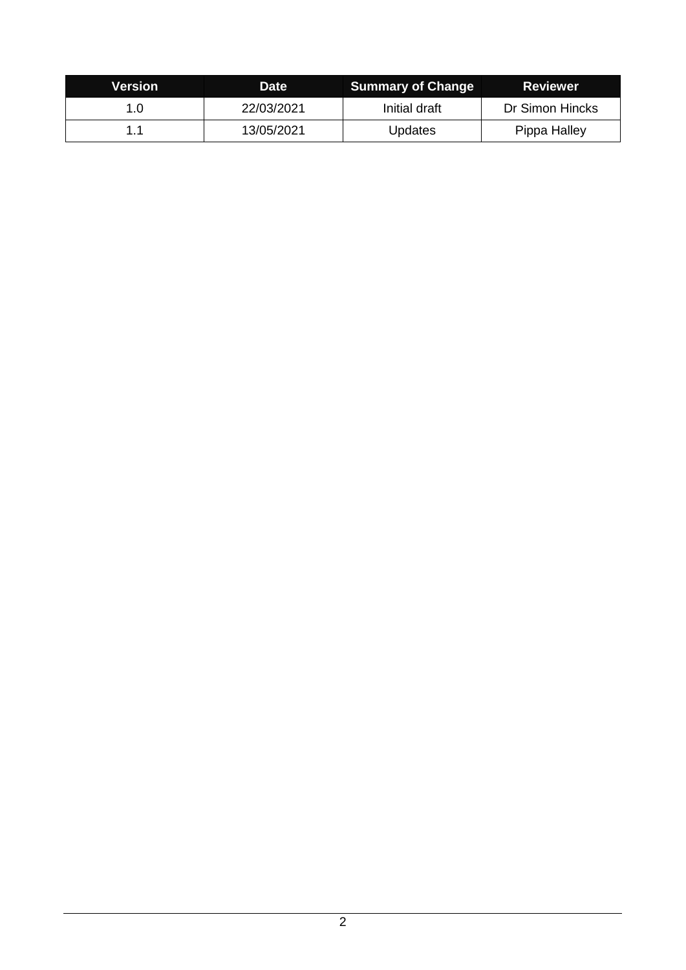| Version | <b>Date</b> | <b>Summary of Change</b> | <b>Reviewer</b> |
|---------|-------------|--------------------------|-----------------|
| 1.0     | 22/03/2021  | Initial draft            | Dr Simon Hincks |
|         | 13/05/2021  | <b>Updates</b>           | Pippa Halley    |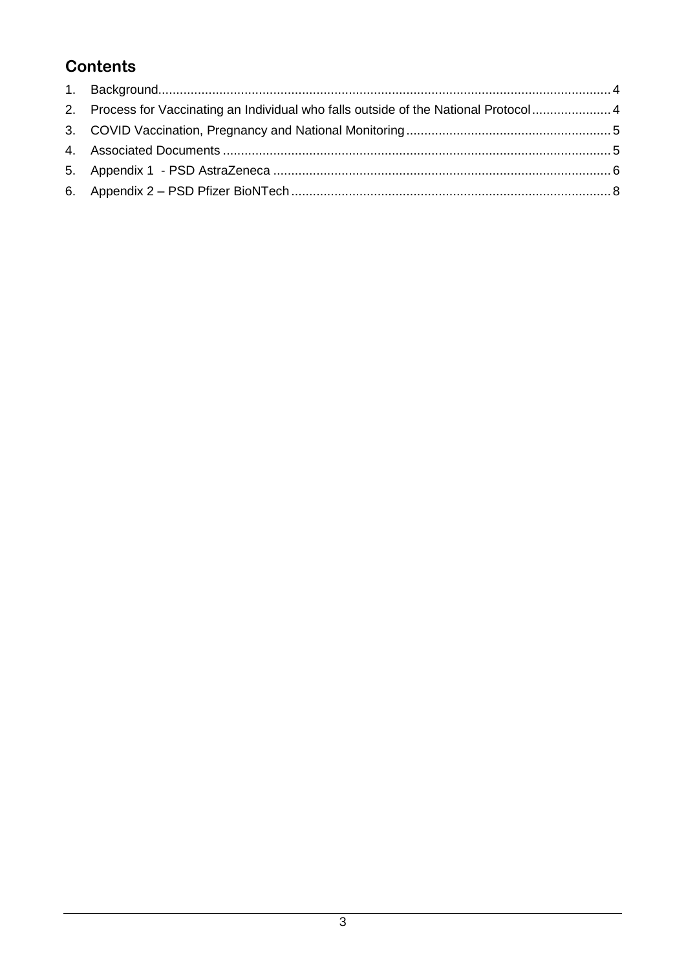# **Contents**

| 2. Process for Vaccinating an Individual who falls outside of the National Protocol 4 |  |
|---------------------------------------------------------------------------------------|--|
|                                                                                       |  |
|                                                                                       |  |
|                                                                                       |  |
|                                                                                       |  |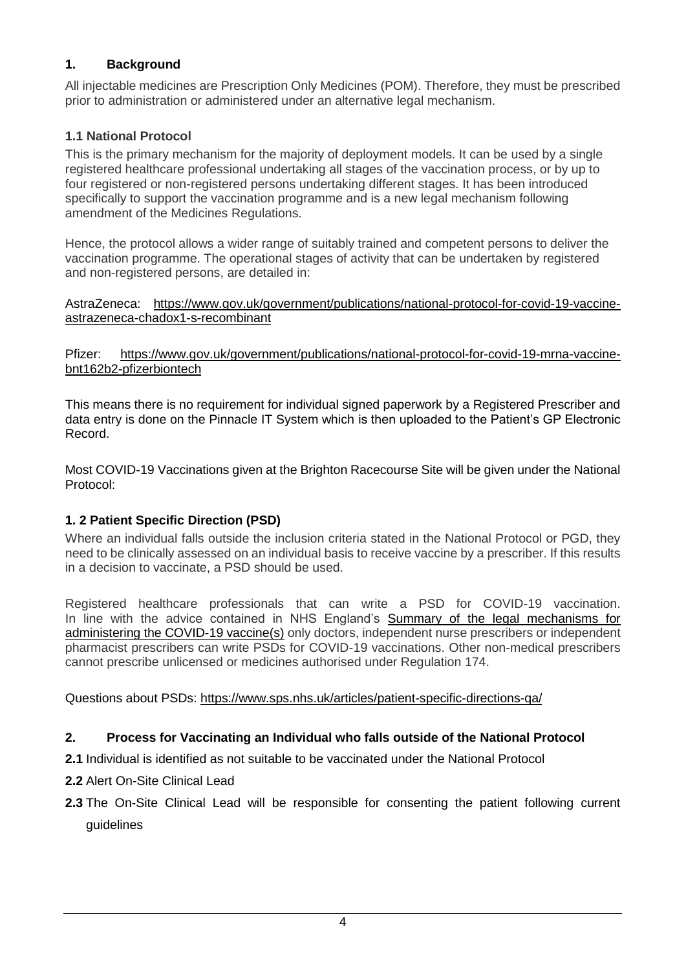# <span id="page-3-0"></span>**1. Background**

All injectable medicines are Prescription Only Medicines (POM). Therefore, they must be prescribed prior to administration or administered under an alternative legal mechanism.

# **1.1 National Protocol**

This is the primary mechanism for the majority of deployment models. It can be used by a single registered healthcare professional undertaking all stages of the vaccination process, or by up to four registered or non-registered persons undertaking different stages. It has been introduced specifically to support the vaccination programme and is a new legal mechanism following amendment of the Medicines Regulations.

Hence, the protocol allows a wider range of suitably trained and competent persons to deliver the vaccination programme. The operational stages of activity that can be undertaken by registered and non-registered persons, are detailed in:

AstraZeneca: [https://www.gov.uk/government/publications/national-protocol-for-covid-19-vaccine](https://www.gov.uk/government/publications/national-protocol-for-covid-19-vaccine-astrazeneca-chadox1-s-recombinant)[astrazeneca-chadox1-s-recombinant](https://www.gov.uk/government/publications/national-protocol-for-covid-19-vaccine-astrazeneca-chadox1-s-recombinant)

Pfizer: [https://www.gov.uk/government/publications/national-protocol-for-covid-19-mrna-vaccine](https://www.gov.uk/government/publications/national-protocol-for-covid-19-mrna-vaccine-bnt162b2-pfizerbiontech)[bnt162b2-pfizerbiontech](https://www.gov.uk/government/publications/national-protocol-for-covid-19-mrna-vaccine-bnt162b2-pfizerbiontech)

This means there is no requirement for individual signed paperwork by a Registered Prescriber and data entry is done on the Pinnacle IT System which is then uploaded to the Patient's GP Electronic Record.

Most COVID-19 Vaccinations given at the Brighton Racecourse Site will be given under the National Protocol:

# **1. 2 Patient Specific Direction (PSD)**

Where an individual falls outside the inclusion criteria stated in the National Protocol or PGD, they need to be clinically assessed on an individual basis to receive vaccine by a prescriber. If this results in a decision to vaccinate, a PSD should be used.

Registered healthcare professionals that can write a PSD for COVID-19 vaccination. In line with the advice contained in NHS England's Summary of the legal mechanisms for [administering the COVID-19 vaccine\(s\)](https://www.england.nhs.uk/coronavirus/publication/summary-of-the-legal-mechanisms-for-administering-the-covid-19-vaccines/) only doctors, independent nurse prescribers or independent pharmacist prescribers can write PSDs for COVID-19 vaccinations. Other non-medical prescribers cannot prescribe unlicensed or medicines authorised under Regulation 174.

Questions about PSDs:<https://www.sps.nhs.uk/articles/patient-specific-directions-qa/>

# <span id="page-3-1"></span>**2. Process for Vaccinating an Individual who falls outside of the National Protocol**

- **2.1** Individual is identified as not suitable to be vaccinated under the National Protocol
- **2.2** Alert On-Site Clinical Lead
- **2.3** The On-Site Clinical Lead will be responsible for consenting the patient following current guidelines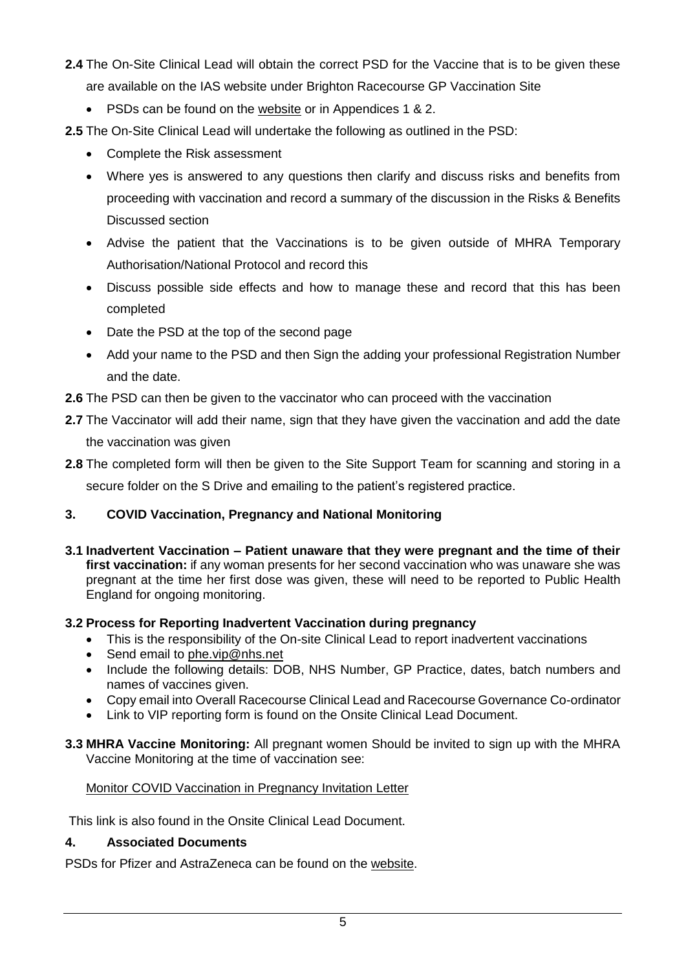- **2.4** The On-Site Clinical Lead will obtain the correct PSD for the Vaccine that is to be given these are available on the IAS website under Brighton Racecourse GP Vaccination Site
	- PSDs can be found on the [website](https://www.improvingaccessservices.co.uk/ehs-staff-resources/brighton-racecourse-gp-vaccination-hub/vaccination-protocols-guidance/) or in Appendices 1 & 2.
- **2.5** The On-Site Clinical Lead will undertake the following as outlined in the PSD:
	- Complete the Risk assessment
	- Where yes is answered to any questions then clarify and discuss risks and benefits from proceeding with vaccination and record a summary of the discussion in the Risks & Benefits Discussed section
	- Advise the patient that the Vaccinations is to be given outside of MHRA Temporary Authorisation/National Protocol and record this
	- Discuss possible side effects and how to manage these and record that this has been completed
	- Date the PSD at the top of the second page
	- Add your name to the PSD and then Sign the adding your professional Registration Number and the date.
- **2.6** The PSD can then be given to the vaccinator who can proceed with the vaccination
- **2.7** The Vaccinator will add their name, sign that they have given the vaccination and add the date the vaccination was given
- **2.8** The completed form will then be given to the Site Support Team for scanning and storing in a secure folder on the S Drive and emailing to the patient's registered practice.

# <span id="page-4-0"></span>**3. COVID Vaccination, Pregnancy and National Monitoring**

**3.1 Inadvertent Vaccination – Patient unaware that they were pregnant and the time of their first vaccination:** if any woman presents for her second vaccination who was unaware she was pregnant at the time her first dose was given, these will need to be reported to Public Health England for ongoing monitoring.

# **3.2 Process for Reporting Inadvertent Vaccination during pregnancy**

- This is the responsibility of the On-site Clinical Lead to report inadvertent vaccinations
- Send email to [phe.vip@nhs.net](mailto:phe.vip@nhs.net)
- Include the following details: DOB, NHS Number, GP Practice, dates, batch numbers and names of vaccines given.
- Copy email into Overall Racecourse Clinical Lead and Racecourse Governance Co-ordinator
- Link to VIP reporting form is found on the Onsite Clinical Lead Document.
- **3.3 MHRA Vaccine Monitoring:** All pregnant women Should be invited to sign up with the MHRA Vaccine Monitoring at the time of vaccination see:

# [Monitor COVID Vaccination in Pregnancy Invitation Letter](https://assets.ctfassets.net/z2qh39eu46pr/134OgCmesW21xrpuGcsGKM/e7e6f54b6fd2482183861545cf779b96/PHE_11969_MHRA_VaccineMonitor_A4_leaflet_05_WEB_final.pdf)

This link is also found in the Onsite Clinical Lead Document.

### <span id="page-4-1"></span>**4. Associated Documents**

PSDs for Pfizer and AstraZeneca can be found on the [website.](https://www.improvingaccessservices.co.uk/wp-admin/post.php?post=2064&action=edit)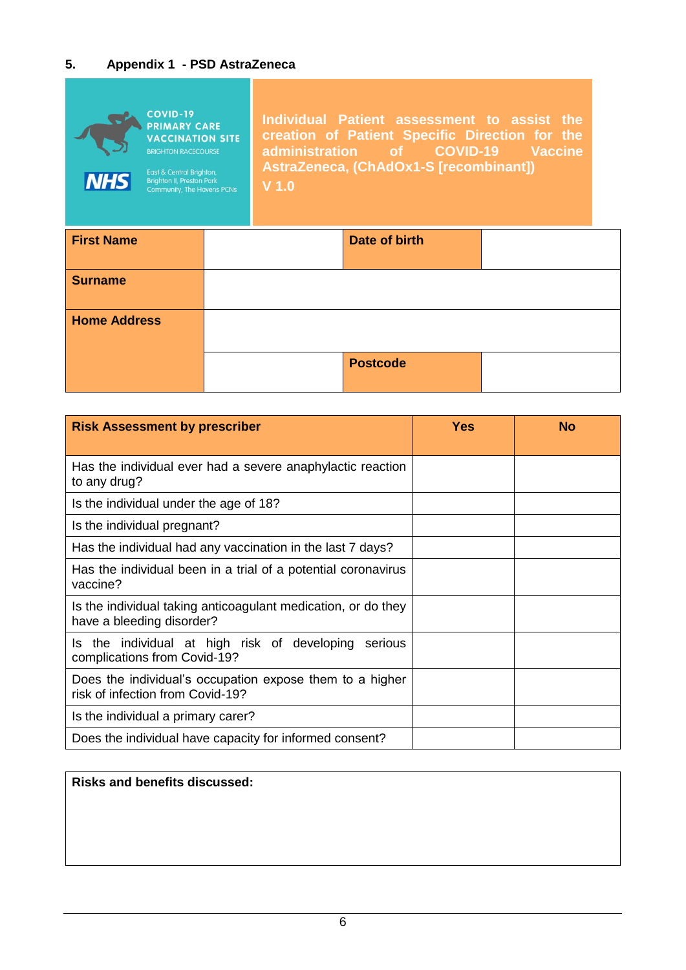# <span id="page-5-0"></span>**5. Appendix 1 - PSD AstraZeneca**

| <b>NHS</b>        | <b>COVID-19</b><br><b>PRIMARY CARE</b><br><b>VACCINATION SITE</b><br><b>BRIGHTON RACECOURSE</b><br>East & Central Brighton,<br><b>Brighton II, Preston Park</b><br><b>Community, The Havens PCNs</b> | V <sub>1.0</sub> | Individual Patient assessment to assist the<br>creation of Patient Specific Direction for the<br>administration of COVID-19 Vaccine<br>AstraZeneca, (ChAdOx1-S [recombinant]) |  |
|-------------------|------------------------------------------------------------------------------------------------------------------------------------------------------------------------------------------------------|------------------|-------------------------------------------------------------------------------------------------------------------------------------------------------------------------------|--|
| <b>First Name</b> |                                                                                                                                                                                                      |                  | Date of birth                                                                                                                                                                 |  |
| <b>Surname</b>    |                                                                                                                                                                                                      |                  |                                                                                                                                                                               |  |

| <b>Home Address</b>                                                                                                                                                                                                                 |                 |               |               |
|-------------------------------------------------------------------------------------------------------------------------------------------------------------------------------------------------------------------------------------|-----------------|---------------|---------------|
|                                                                                                                                                                                                                                     | <b>Postcode</b> |               |               |
| <b>PRODUCTS</b> And the second control of the second control of the second control of the second control of the second control of the second control of the second control of the second control of the second control of the secon |                 | <b>NECKER</b> | <b>BOTTOM</b> |

| <b>Risk Assessment by prescriber</b>                                                         | Yes | <b>No</b> |
|----------------------------------------------------------------------------------------------|-----|-----------|
| Has the individual ever had a severe anaphylactic reaction<br>to any drug?                   |     |           |
| Is the individual under the age of 18?                                                       |     |           |
| Is the individual pregnant?                                                                  |     |           |
| Has the individual had any vaccination in the last 7 days?                                   |     |           |
| Has the individual been in a trial of a potential coronavirus<br>vaccine?                    |     |           |
| Is the individual taking anticoagulant medication, or do they<br>have a bleeding disorder?   |     |           |
| the individual at high risk of developing<br>serious<br>Is.<br>complications from Covid-19?  |     |           |
| Does the individual's occupation expose them to a higher<br>risk of infection from Covid-19? |     |           |
| Is the individual a primary carer?                                                           |     |           |
| Does the individual have capacity for informed consent?                                      |     |           |

# **Risks and benefits discussed:**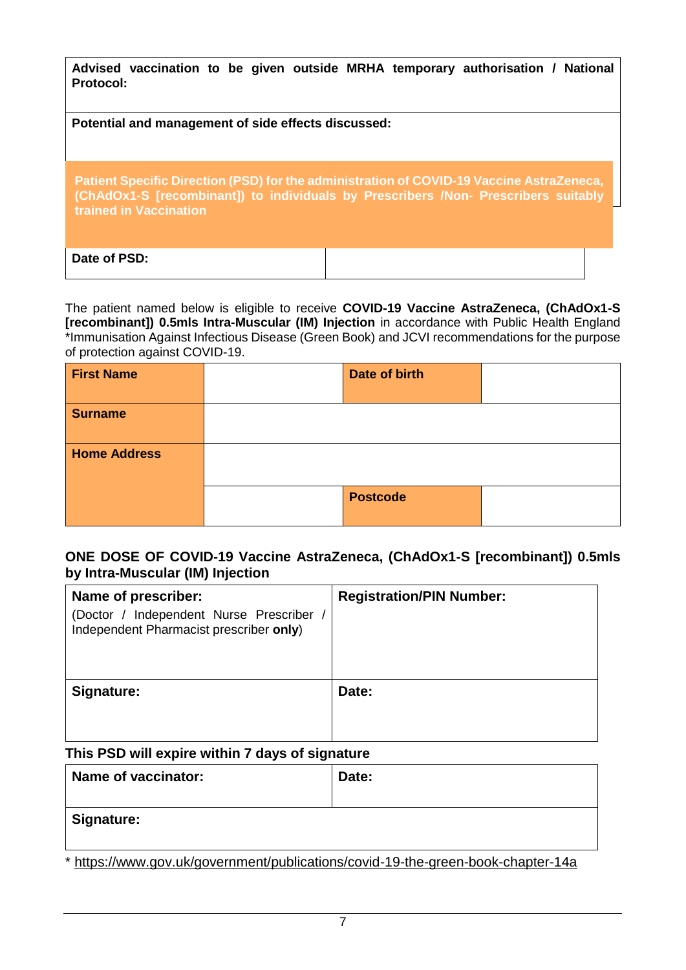| Protocol:                                           | Advised vaccination to be given outside MRHA temporary authorisation / National                                                                                                |
|-----------------------------------------------------|--------------------------------------------------------------------------------------------------------------------------------------------------------------------------------|
| Potential and management of side effects discussed: |                                                                                                                                                                                |
|                                                     |                                                                                                                                                                                |
| <b>trained in Vaccination</b>                       | Patient Specific Direction (PSD) for the administration of COVID-19 Vaccine AstraZeneca,<br>(ChAdOx1-S [recombinant]) to individuals by Prescribers /Non- Prescribers suitably |
| Date of PSD:                                        |                                                                                                                                                                                |

The patient named below is eligible to receive **COVID-19 Vaccine AstraZeneca, (ChAdOx1-S [recombinant]) 0.5mls Intra-Muscular (IM) Injection** in accordance with Public Health England \*Immunisation Against Infectious Disease (Green Book) and JCVI recommendations for the purpose of protection against COVID-19.

| <b>First Name</b>   | Date of birth   |  |
|---------------------|-----------------|--|
| <b>Surname</b>      |                 |  |
| <b>Home Address</b> |                 |  |
|                     | <b>Postcode</b> |  |

### **ONE DOSE OF COVID-19 Vaccine AstraZeneca, (ChAdOx1-S [recombinant]) 0.5mls by Intra-Muscular (IM) Injection**

| Name of prescriber:<br>(Doctor / Independent Nurse Prescriber<br>Independent Pharmacist prescriber only) | <b>Registration/PIN Number:</b> |
|----------------------------------------------------------------------------------------------------------|---------------------------------|
| Signature:                                                                                               | Date:                           |

### **This PSD will expire within 7 days of signature**

| Name of vaccinator:                                                                                   | Date: |
|-------------------------------------------------------------------------------------------------------|-------|
| <b>Signature:</b>                                                                                     |       |
| العقاب التاريخ والمتحاف المتحافية والمنازل والمتحافظ والمنافس والمستحدث والمستحدث والمستحدث والمستحدث |       |

\* <https://www.gov.uk/government/publications/covid-19-the-green-book-chapter-14a>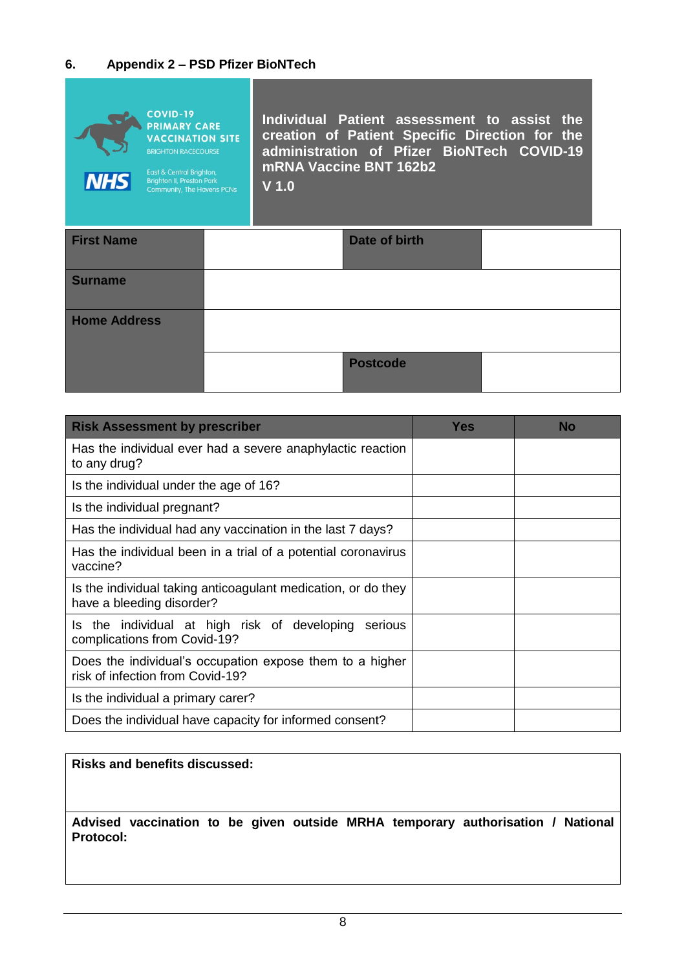### <span id="page-7-0"></span>**6. Appendix 2 – PSD Pfizer BioNTech**



| <b>First Name</b>   | Date of birth   |  |
|---------------------|-----------------|--|
| <b>Surname</b>      |                 |  |
| <b>Home Address</b> |                 |  |
|                     | <b>Postcode</b> |  |

| <b>Risk Assessment by prescriber</b>                                                         | <b>Yes</b> | <b>No</b> |
|----------------------------------------------------------------------------------------------|------------|-----------|
| Has the individual ever had a severe anaphylactic reaction<br>to any drug?                   |            |           |
| Is the individual under the age of 16?                                                       |            |           |
| Is the individual pregnant?                                                                  |            |           |
| Has the individual had any vaccination in the last 7 days?                                   |            |           |
| Has the individual been in a trial of a potential coronavirus<br>vaccine?                    |            |           |
| Is the individual taking anticoagulant medication, or do they<br>have a bleeding disorder?   |            |           |
| Is the individual at high risk of developing<br>serious<br>complications from Covid-19?      |            |           |
| Does the individual's occupation expose them to a higher<br>risk of infection from Covid-19? |            |           |
| Is the individual a primary carer?                                                           |            |           |
| Does the individual have capacity for informed consent?                                      |            |           |

#### **Risks and benefits discussed:**

**Advised vaccination to be given outside MRHA temporary authorisation / National Protocol:**